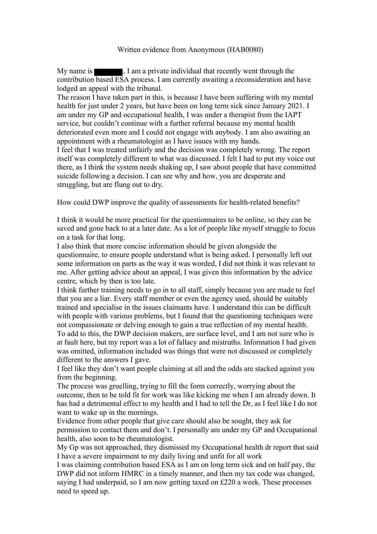Written evidence from Anonymous (HAB0080)

My name is , I am a private individual that recently went through the contribution based ESA process. I am currently awaiting a reconsideration and have lodged an appeal with the tribunal.

The reason I have taken part in this, is because I have been suffering with my mental health for just under 2 years, but have been on long term sick since January 2021. I am under my GP and occupational health, I was under a therapist from the IAPT service, but couldn't continue with a further referral because my mental health deteriorated even more and I could not engage with anybody. I am also awaiting an appointment with a rheumatologist as I have issues with my hands.

I feel that I was treated unfairly and the decision was completely wrong. The report itself was completely different to what was discussed. I felt I had to put my voice out there, as I think the system needs shaking up, I saw about people that have committed suicide following a decision. I can see why and how, you are desperate and struggling, but are flung out to dry.

How could DWP improve the quality of assessments for health-related benefits?

I think it would be more practical for the questionnaires to be online, so they can be saved and gone back to at a later date. As a lot of people like myself struggle to focus on a task for that long.

I also think that more concise information should be given alongside the questionnaire, to ensure people understand what is being asked. I personally left out some information on parts as the way it was worded, I did not think it was relevant to me. After getting advice about an appeal, I was given this information by the advice centre, which by then is too late.

I think further training needs to go in to all staff, simply because you are made to feel that you are a liar. Every staff member or even the agency used, should be suitably trained and specialise in the issues claimants have. I understand this can be difficult with people with various problems, but I found that the questioning techniques were not compassionate or delving enough to gain a true reflection of my mental health. To add to this, the DWP decision makers, are surface level, and I am not sure who is at fault here, but my report was a lot of fallacy and mistruths. Information I had given was omitted, information included was things that were not discussed or completely different to the answers I gave.

I feel like they don't want people claiming at all and the odds are stacked against you from the beginning.

The process was gruelling, trying to fill the form correctly, worrying about the outcome, then to be told fit for work was like kicking me when I am already down. It has had a detrimental effect to my health and I had to tell the Dr, as I feel like I do not want to wake up in the mornings.

Evidence from other people that give care should also be sought, they ask for permission to contact them and don't. I personally am under my GP and Occupational health, also soon to be rheumatologist.

My Gp was not approached, they dismissed my Occupational health dr report that said I have a severe impairment to my daily living and unfit for all work

I was claiming contribution based ESA as I am on long term sick and on half pay, the DWP did not inform HMRC in a timely manner, and then my tax code was changed, saying I had underpaid, so I am now getting taxed on £220 a week. These processes need to speed up.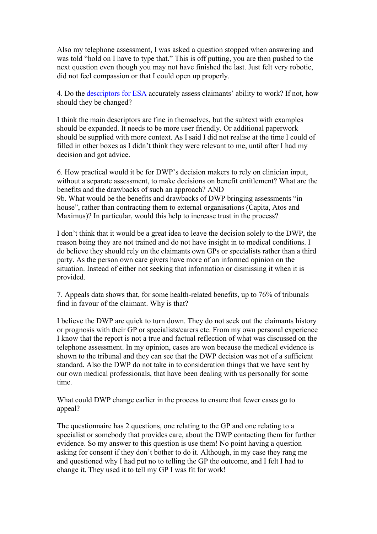Also my telephone assessment, I was asked a question stopped when answering and was told "hold on I have to type that." This is off putting, you are then pushed to the next question even though you may not have finished the last. Just felt very robotic, did not feel compassion or that I could open up properly.

4. Do the descriptors for ESA accurately assess claimants' ability to work? If not, how should they be changed?

I think the main descriptors are fine in themselves, but the subtext with examples should be expanded. It needs to be more user friendly. Or additional paperwork should be supplied with more context. As I said I did not realise at the time I could of filled in other boxes as I didn't think they were relevant to me, until after I had my decision and got advice.

6. How practical would it be for DWP's decision makers to rely on clinician input, without a separate assessment, to make decisions on benefit entitlement? What are the benefits and the drawbacks of such an approach? AND 9b. What would be the benefits and drawbacks of DWP bringing assessments "in house", rather than contracting them to external organisations (Capita, Atos and Maximus)? In particular, would this help to increase trust in the process?

I don't think that it would be a great idea to leave the decision solely to the DWP, the reason being they are not trained and do not have insight in to medical conditions. I do believe they should rely on the claimants own GPs or specialists rather than a third party. As the person own care givers have more of an informed opinion on the situation. Instead of either not seeking that information or dismissing it when it is provided.

7. Appeals data shows that, for some health-related benefits, up to 76% of tribunals find in favour of the claimant. Why is that?

I believe the DWP are quick to turn down. They do not seek out the claimants history or prognosis with their GP or specialists/carers etc. From my own personal experience I know that the report is not a true and factual reflection of what was discussed on the telephone assessment. In my opinion, cases are won because the medical evidence is shown to the tribunal and they can see that the DWP decision was not of a sufficient standard. Also the DWP do not take in to consideration things that we have sent by our own medical professionals, that have been dealing with us personally for some time.

What could DWP change earlier in the process to ensure that fewer cases go to appeal?

The questionnaire has 2 questions, one relating to the GP and one relating to a specialist or somebody that provides care, about the DWP contacting them for further evidence. So my answer to this question is use them! No point having a question asking for consent if they don't bother to do it. Although, in my case they rang me and questioned why I had put no to telling the GP the outcome, and I felt I had to change it. They used it to tell my GP I was fit for work!